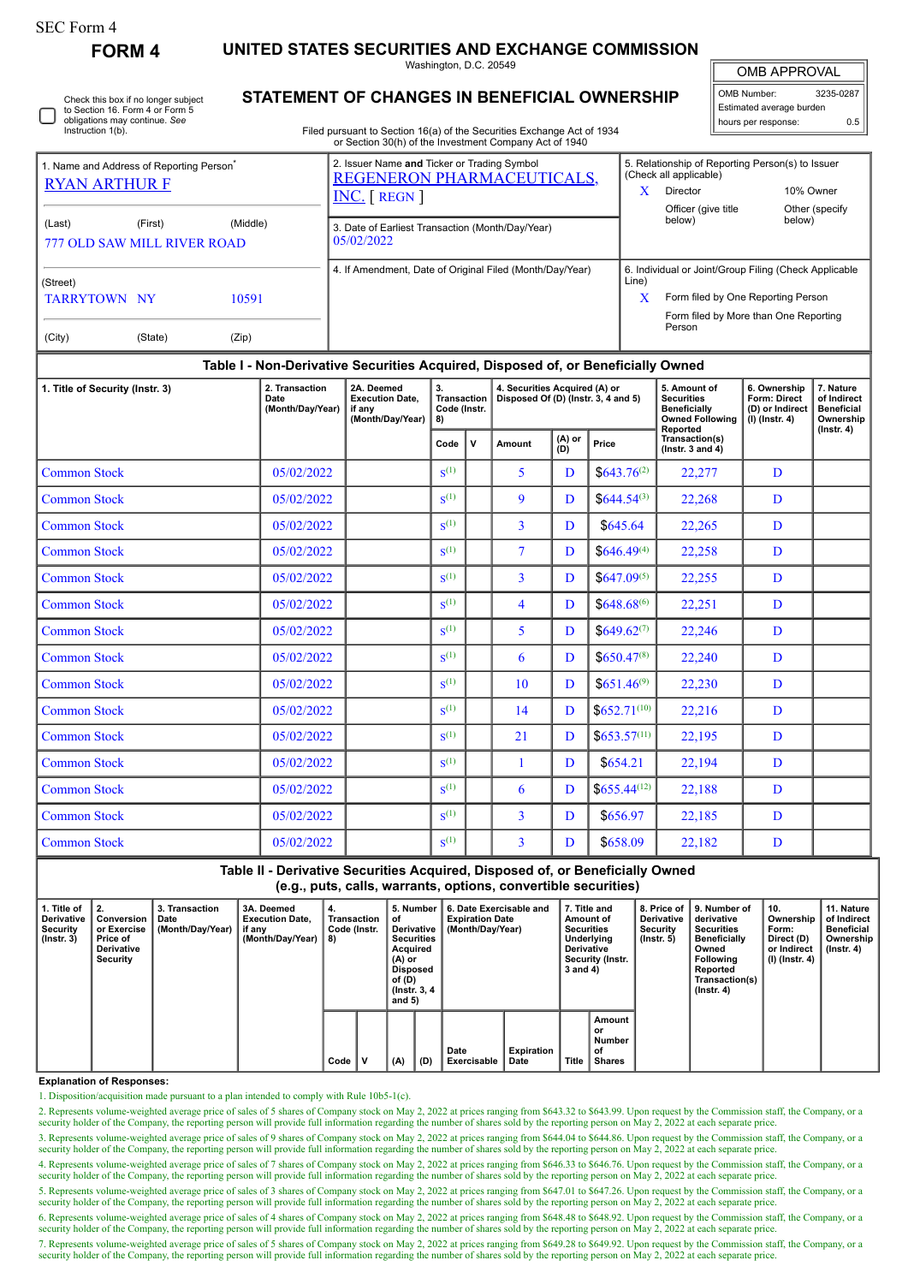## SEC Form 4

Instruction 1(b).

Check this box if no longer subject to Section 16. Form 4 or Form 5 obligations may continue. *See*

**FORM 4 UNITED STATES SECURITIES AND EXCHANGE COMMISSION**

Washington, D.C. 20549 **STATEMENT OF CHANGES IN BENEFICIAL OWNERSHIP**

OMB APPROVAL

 $\mathbb I$ 

| OMB Number:              | 3235-0287 |  |  |  |  |  |  |  |  |
|--------------------------|-----------|--|--|--|--|--|--|--|--|
| Estimated average burden |           |  |  |  |  |  |  |  |  |
| hours per response:      | 0.5       |  |  |  |  |  |  |  |  |

Filed pursuant to Section 16(a) of the Securities Exchange Act of 1934 or Section 30(h) of the Investment Company Act of 1940

| 1. Name and Address of Reporting Person <sup>7</sup><br><b>RYAN ARTHUR F</b>                                                                  |  |                                                                                 | 2. Issuer Name and Ticker or Trading Symbol<br>REGENERON PHARMACEUTICALS,<br>$INC.$ [ REGN ] | 5. Relationship of Reporting Person(s) to Issuer<br>(Check all applicable)<br>X<br>Director<br>10% Owner<br>Officer (give title)<br>Other (specify)          |  |  |  |  |  |  |  |  |  |
|-----------------------------------------------------------------------------------------------------------------------------------------------|--|---------------------------------------------------------------------------------|----------------------------------------------------------------------------------------------|--------------------------------------------------------------------------------------------------------------------------------------------------------------|--|--|--|--|--|--|--|--|--|
| (Middle)<br>(Last)<br>(First)<br><b>777 OLD SAW MILL RIVER ROAD</b><br>(Street)<br><b>TARRYTOWN NY</b><br>10591<br>(City)<br>(State)<br>(Zip) |  |                                                                                 | 3. Date of Earliest Transaction (Month/Day/Year)<br>05/02/2022                               | below)<br>below)                                                                                                                                             |  |  |  |  |  |  |  |  |  |
|                                                                                                                                               |  |                                                                                 | 4. If Amendment, Date of Original Filed (Month/Day/Year)                                     | 6. Individual or Joint/Group Filing (Check Applicable<br>Line)<br>X<br>Form filed by One Reporting Person<br>Form filed by More than One Reporting<br>Person |  |  |  |  |  |  |  |  |  |
|                                                                                                                                               |  | Non Derivative Coourities Acquired Disposed of ar Peneficially Qurad<br>Tabla L |                                                                                              |                                                                                                                                                              |  |  |  |  |  |  |  |  |  |

## **Table I - Non-Derivative Securities Acquired, Disposed of, or Beneficially Owned**

| 1. Title of Security (Instr. 3) | 2. Transaction<br>Date<br>(Month/Day/Year) | 2A. Deemed<br>3.<br><b>Execution Date.</b><br><b>Transaction</b><br>Code (Instr.<br>if any<br>(Month/Day/Year)<br>8) |                    |        |                | 4. Securities Acquired (A) or | Disposed Of (D) (Instr. 3, 4 and 5)    | 5. Amount of<br><b>Securities</b><br><b>Beneficially</b><br><b>Owned Following</b><br>Reported | 6. Ownership<br>Form: Direct<br>(D) or Indirect<br>$(I)$ (Instr. 4) | 7. Nature<br>of Indirect<br><b>Beneficial</b><br>Ownership |
|---------------------------------|--------------------------------------------|----------------------------------------------------------------------------------------------------------------------|--------------------|--------|----------------|-------------------------------|----------------------------------------|------------------------------------------------------------------------------------------------|---------------------------------------------------------------------|------------------------------------------------------------|
|                                 |                                            | Code                                                                                                                 | v                  | Amount | (A) or<br>(D)  | Price                         | Transaction(s)<br>( $lnstr. 3 and 4$ ) |                                                                                                | $($ lnstr. 4 $)$                                                    |                                                            |
| <b>Common Stock</b>             | 05/02/2022                                 |                                                                                                                      | $S^{(1)}$          |        | 5              | D                             | $$643.76^{(2)}$$                       | 22,277                                                                                         | D                                                                   |                                                            |
| <b>Common Stock</b>             | 05/02/2022                                 |                                                                                                                      | $\mathbf{S}^{(1)}$ |        | 9              | D                             | $$644.54^{(3)}$$                       | 22,268                                                                                         | D                                                                   |                                                            |
| <b>Common Stock</b>             | 05/02/2022                                 |                                                                                                                      | $S^{(1)}$          |        | 3              | D                             | \$645.64                               | 22,265                                                                                         | D                                                                   |                                                            |
| <b>Common Stock</b>             | 05/02/2022                                 |                                                                                                                      | $\mathbf{S}^{(1)}$ |        | $\overline{7}$ | D                             | $$646.49^{(4)}$                        | 22,258                                                                                         | D                                                                   |                                                            |
| <b>Common Stock</b>             | 05/02/2022                                 |                                                                                                                      | $S^{(1)}$          |        | 3              | D                             | $$647.09^{(5)}$                        | 22,255                                                                                         | D                                                                   |                                                            |
| <b>Common Stock</b>             | 05/02/2022                                 |                                                                                                                      | $S^{(1)}$          |        | $\overline{4}$ | D                             | $$648.68^{(6)}$                        | 22,251                                                                                         | D                                                                   |                                                            |
| <b>Common Stock</b>             | 05/02/2022                                 |                                                                                                                      | $S^{(1)}$          |        | 5              | D                             | $$649.62^{(7)}$                        | 22,246                                                                                         | D                                                                   |                                                            |
| <b>Common Stock</b>             | 05/02/2022                                 |                                                                                                                      | $S^{(1)}$          |        | 6              | D                             | $$650.47^{(8)}$$                       | 22,240                                                                                         | D                                                                   |                                                            |
| <b>Common Stock</b>             | 05/02/2022                                 |                                                                                                                      | $\mathbf{S}^{(1)}$ |        | 10             | D                             | $$651.46^{(9)}$                        | 22,230                                                                                         | D                                                                   |                                                            |
| <b>Common Stock</b>             | 05/02/2022                                 |                                                                                                                      | $S^{(1)}$          |        | 14             | D                             | $$652.71^{(10)}$                       | 22,216                                                                                         | D                                                                   |                                                            |
| <b>Common Stock</b>             | 05/02/2022                                 |                                                                                                                      | $\mathbf{S}^{(1)}$ |        | 21             | D                             | $$653.57^{(11)}$$                      | 22,195                                                                                         | D                                                                   |                                                            |
| <b>Common Stock</b>             | 05/02/2022                                 |                                                                                                                      | $S^{(1)}$          |        | 1              | D                             | \$654.21                               | 22,194                                                                                         | D                                                                   |                                                            |
| <b>Common Stock</b>             | 05/02/2022                                 |                                                                                                                      | $\mathbf{S}^{(1)}$ |        | 6              | D                             | $$655,44^{(12)}$$                      | 22,188                                                                                         | D                                                                   |                                                            |
| <b>Common Stock</b>             | 05/02/2022                                 |                                                                                                                      | $\mathbf{S}^{(1)}$ |        | $\overline{3}$ | D                             | \$656.97                               | 22,185                                                                                         | D                                                                   |                                                            |
| <b>Common Stock</b>             | 05/02/2022                                 |                                                                                                                      | $S^{(1)}$          |        | 3              | D                             | \$658.09                               | 22,182                                                                                         | D                                                                   |                                                            |

**Table II - Derivative Securities Acquired, Disposed of, or Beneficially Owned (e.g., puts, calls, warrants, options, convertible securities)**

| 1. Title of<br>Derivative<br>Security<br>$($ lnstr. 3 $)$ | $^{\circ}$ 2.<br>Conversion<br>or Exercise<br>Price of<br>Derivative<br>Security | 3. Transaction<br>Date<br>(Month/Day/Year) | 3A. Deemed<br><b>Execution Date.</b><br>if any<br>(Month/Day/Year) | 4.<br>Transaction<br>Code (Instr.<br>8) |   | 5. Number<br>οf<br>Derivative<br><b>Securities</b><br>Acquired<br>(A) or<br>Disposed<br>of (D)<br>(Instr. 3, 4)<br>and $5)$ |     | 6. Date Exercisable and<br><b>Expiration Date</b><br>(Month/Day/Year) |                           | 7. Title and<br>Amount of<br><b>Securities</b><br>Underlying<br><b>Derivative</b><br>Security (Instr.<br>3 and 4) |                                               | 8. Price of  <br><b>Derivative</b><br>Security<br>$($ lnstr. 5 $)$ | l 9. Number of<br>derivative<br><b>Securities</b><br><b>Beneficially</b><br>Owned<br>Following<br>Reported<br>Transaction(s)<br>$($ Instr. 4 $)$ | 10.<br>Ownership<br>Form:<br>Direct (D)<br>or Indirect<br>(I) (Instr. 4) | 11. Nature<br>of Indirect<br><b>Beneficial</b><br>Ownership<br>(Instr. 4) |
|-----------------------------------------------------------|----------------------------------------------------------------------------------|--------------------------------------------|--------------------------------------------------------------------|-----------------------------------------|---|-----------------------------------------------------------------------------------------------------------------------------|-----|-----------------------------------------------------------------------|---------------------------|-------------------------------------------------------------------------------------------------------------------|-----------------------------------------------|--------------------------------------------------------------------|--------------------------------------------------------------------------------------------------------------------------------------------------|--------------------------------------------------------------------------|---------------------------------------------------------------------------|
|                                                           |                                                                                  |                                            |                                                                    | Code                                    | v | (A)                                                                                                                         | (D) | Date<br>Exercisable                                                   | <b>Expiration</b><br>Date | Title                                                                                                             | Amount<br>or<br>Number<br>of<br><b>Shares</b> |                                                                    |                                                                                                                                                  |                                                                          |                                                                           |

**Explanation of Responses:**

1. Disposition/acquisition made pursuant to a plan intended to comply with Rule 10b5-1(c).

2. Represents volume-weighted average price of sales of 5 shares of Company stock on May 2, 2022 at prices ranging from \$643.32 to \$643.99. Upon request by the Commission staff, the Company, or a security holder of the Company, the reporting person will provide full information regarding the number of shares sold by the reporting person on May 2, 2022 at each separate price.

3. Represents volume-weighted average price of sales of 9 shares of Company stock on May 2, 2022 at prices ranging from \$644.04 to \$644.86. Upon request by the Commission staff, the Company, or a security holder of the Company, the reporting person will provide full information regarding the number of shares sold by the reporting person on May 2, 2022 at each separate price.

4. Represents volume-weighted average price of sales of 7 shares of Company stock on May 2, 2022 at prices ranging from \$646.33 to \$646.76. Upon request by the Commission staff, the Company, or a security holder of the Company, the reporting person will provide full information regarding the number of shares sold by the reporting person on May 2, 2022 at each separate price.

5. Represents volume-weighted average price of sales of 3 shares of Company stock on May 2, 2022 at prices ranging from \$647.01 to \$647.26. Upon request by the Commission staff, the Company, or a security holder of the Com

6. Represents volume-weighted average price of sales of 4 shares of Company stock on May 2, 2022 at prices ranging from \$648.48 to \$648.92. Upon request by the Commission staff, the Company, or a security holder of the Com

7. Represents volume-weighted average price of sales of 5 shares of Company stock on May 2, 2022 at prices ranging from \$649.28 to \$649.92. Upon request by the Commission staff, the Company, or a security holder of the Company, the reporting person will provide full information regarding the number of shares sold by the reporting person on May 2, 2022 at each separate price.